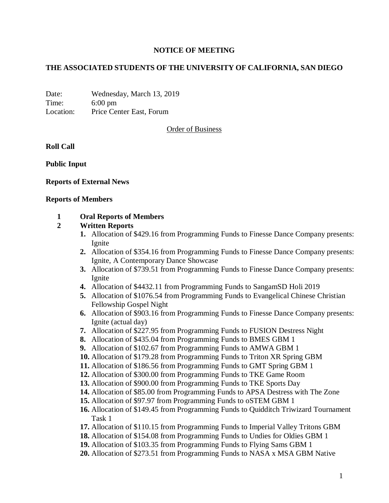#### **NOTICE OF MEETING**

#### **THE ASSOCIATED STUDENTS OF THE UNIVERSITY OF CALIFORNIA, SAN DIEGO**

Date: Wednesday, March 13, 2019 Time: 6:00 pm Location: Price Center East, Forum

Order of Business

**Roll Call**

**Public Input**

#### **Reports of External News**

#### **Reports of Members**

#### **1 Oral Reports of Members**

#### **2 Written Reports**

- **1.** Allocation of \$429.16 from Programming Funds to Finesse Dance Company presents: Ignite
- **2.** Allocation of \$354.16 from Programming Funds to Finesse Dance Company presents: Ignite, A Contemporary Dance Showcase
- **3.** Allocation of \$739.51 from Programming Funds to Finesse Dance Company presents: Ignite
- **4.** Allocation of \$4432.11 from Programming Funds to SangamSD Holi 2019
- **5.** Allocation of \$1076.54 from Programming Funds to Evangelical Chinese Christian Fellowship Gospel Night
- **6.** Allocation of \$903.16 from Programming Funds to Finesse Dance Company presents: Ignite (actual day)
- **7.** Allocation of \$227.95 from Programming Funds to FUSION Destress Night
- **8.** Allocation of \$435.04 from Programming Funds to BMES GBM 1
- **9.** Allocation of \$102.67 from Programming Funds to AMWA GBM 1
- **10.** Allocation of \$179.28 from Programming Funds to Triton XR Spring GBM
- **11.** Allocation of \$186.56 from Programming Funds to GMT Spring GBM 1
- **12.** Allocation of \$300.00 from Programming Funds to TKE Game Room
- **13.** Allocation of \$900.00 from Programming Funds to TKE Sports Day
- **14.** Allocation of \$85.00 from Programming Funds to APSA Destress with The Zone
- **15.** Allocation of \$97.97 from Programming Funds to oSTEM GBM 1
- **16.** Allocation of \$149.45 from Programming Funds to Quidditch Triwizard Tournament Task 1
- **17.** Allocation of \$110.15 from Programming Funds to Imperial Valley Tritons GBM
- **18.** Allocation of \$154.08 from Programming Funds to Undies for Oldies GBM 1
- **19.** Allocation of \$103.35 from Programming Funds to Flying Sams GBM 1
- **20.** Allocation of \$273.51 from Programming Funds to NASA x MSA GBM Native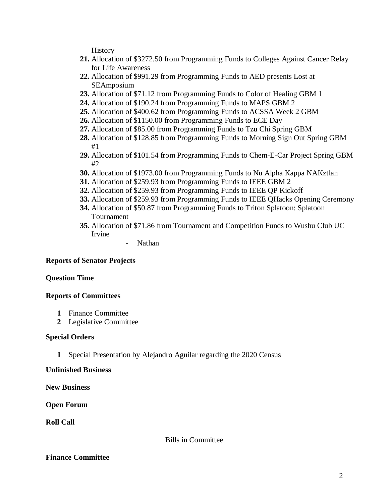**History** 

- **21.** Allocation of \$3272.50 from Programming Funds to Colleges Against Cancer Relay for Life Awareness
- **22.** Allocation of \$991.29 from Programming Funds to AED presents Lost at SEAmposium
- **23.** Allocation of \$71.12 from Programming Funds to Color of Healing GBM 1
- **24.** Allocation of \$190.24 from Programming Funds to MAPS GBM 2
- **25.** Allocation of \$400.62 from Programming Funds to ACSSA Week 2 GBM
- **26.** Allocation of \$1150.00 from Programming Funds to ECE Day
- **27.** Allocation of \$85.00 from Programming Funds to Tzu Chi Spring GBM
- **28.** Allocation of \$128.85 from Programming Funds to Morning Sign Out Spring GBM #1
- **29.** Allocation of \$101.54 from Programming Funds to Chem-E-Car Project Spring GBM #2
- **30.** Allocation of \$1973.00 from Programming Funds to Nu Alpha Kappa NAKztlan
- **31.** Allocation of \$259.93 from Programming Funds to IEEE GBM 2
- **32.** Allocation of \$259.93 from Programming Funds to IEEE QP Kickoff
- **33.** Allocation of \$259.93 from Programming Funds to IEEE QHacks Opening Ceremony
- **34.** Allocation of \$50.87 from Programming Funds to Triton Splatoon: Splatoon Tournament
- **35.** Allocation of \$71.86 from Tournament and Competition Funds to Wushu Club UC Irvine
	- Nathan

# **Reports of Senator Projects**

# **Question Time**

# **Reports of Committees**

- **1** Finance Committee
- **2** Legislative Committee

# **Special Orders**

**1** Special Presentation by Alejandro Aguilar regarding the 2020 Census

# **Unfinished Business**

**New Business**

# **Open Forum**

**Roll Call**

# Bills in Committee

# **Finance Committee**